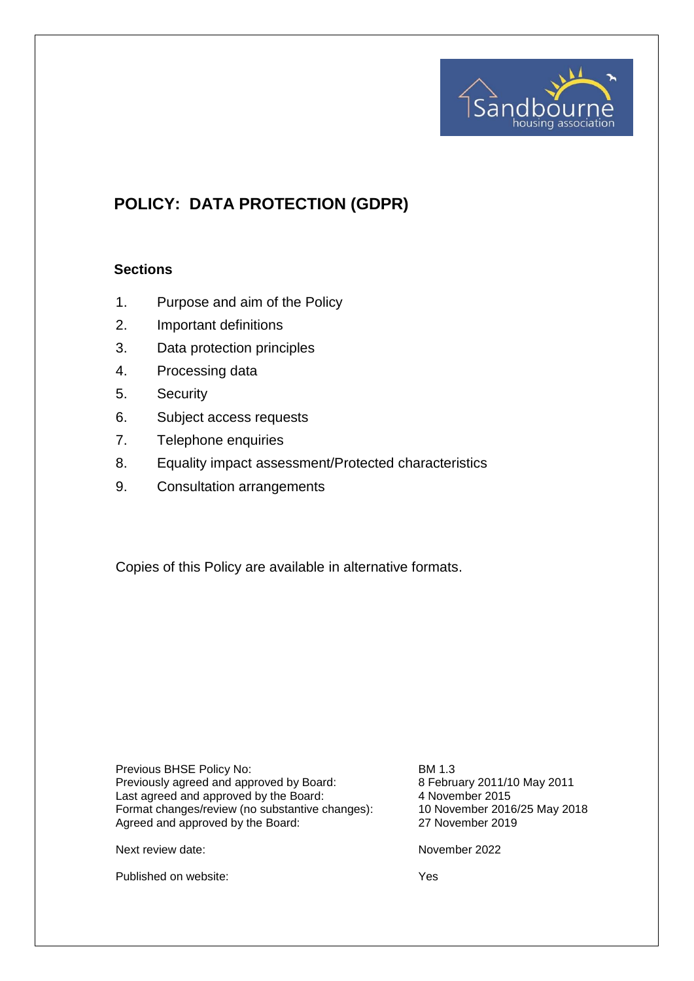

# **POLICY: DATA PROTECTION (GDPR)**

#### **Sections**

- 1. Purpose and aim of the Policy
- 2. Important definitions
- 3. Data protection principles
- 4. Processing data
- 5. Security
- 6. Subject access requests
- 7. Telephone enquiries
- 8. Equality impact assessment/Protected characteristics
- 9. Consultation arrangements

Copies of this Policy are available in alternative formats.

Previous BHSE Policy No: BM 1.3 Previously agreed and approved by Board: 8 February 2011/10 May 2011<br>Last agreed and approved by the Board: 4 November 2015 Last agreed and approved by the Board: 4 November 2015<br>
Format changes/review (no substantive changes): 40 November 2016/25 May 2018 Format changes/review (no substantive changes): 10 November 2016/<br>Agreed and approved by the Board: 27 November 2019 Agreed and approved by the Board:

Next review date: November 2022

Published on website: Yes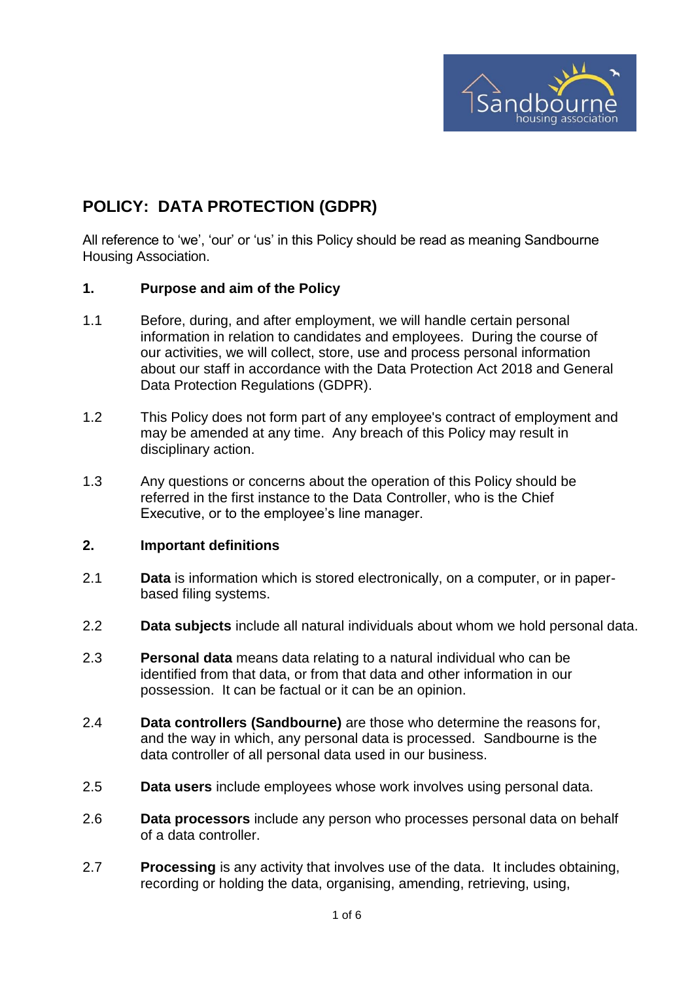

# **POLICY: DATA PROTECTION (GDPR)**

All reference to 'we', 'our' or 'us' in this Policy should be read as meaning Sandbourne Housing Association.

#### **1. Purpose and aim of the Policy**

- 1.1 Before, during, and after employment, we will handle certain personal information in relation to candidates and employees. During the course of our activities, we will collect, store, use and process personal information about our staff in accordance with the Data Protection Act 2018 and General Data Protection Regulations (GDPR).
- 1.2 This Policy does not form part of any employee's contract of employment and may be amended at any time. Any breach of this Policy may result in disciplinary action.
- 1.3 Any questions or concerns about the operation of this Policy should be referred in the first instance to the Data Controller, who is the Chief Executive, or to the employee's line manager.

### **2. Important definitions**

- 2.1 **Data** is information which is stored electronically, on a computer, or in paperbased filing systems.
- 2.2 **Data subjects** include all natural individuals about whom we hold personal data.
- 2.3 **Personal data** means data relating to a natural individual who can be identified from that data, or from that data and other information in our possession. It can be factual or it can be an opinion.
- 2.4 **Data controllers (Sandbourne)** are those who determine the reasons for, and the way in which, any personal data is processed. Sandbourne is the data controller of all personal data used in our business.
- 2.5 **Data users** include employees whose work involves using personal data.
- 2.6 **Data processors** include any person who processes personal data on behalf of a data controller.
- 2.7 **Processing** is any activity that involves use of the data. It includes obtaining, recording or holding the data, organising, amending, retrieving, using,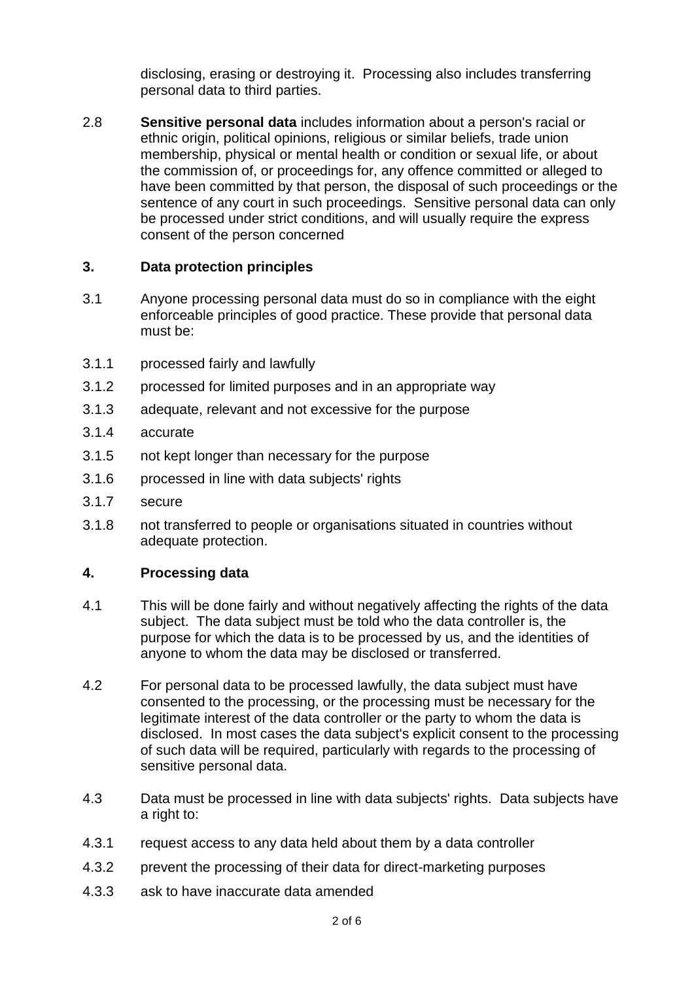disclosing, erasing or destroying it. Processing also includes transferring personal data to third parties.

2.8 **Sensitive personal data** includes information about a person's racial or ethnic origin, political opinions, religious or similar beliefs, trade union membership, physical or mental health or condition or sexual life, or about the commission of, or proceedings for, any offence committed or alleged to have been committed by that person, the disposal of such proceedings or the sentence of any court in such proceedings. Sensitive personal data can only be processed under strict conditions, and will usually require the express consent of the person concerned

## **3. Data protection principles**

- 3.1 Anyone processing personal data must do so in compliance with the eight enforceable principles of good practice. These provide that personal data must be:
- 3.1.1 processed fairly and lawfully
- 3.1.2 processed for limited purposes and in an appropriate way
- 3.1.3 adequate, relevant and not excessive for the purpose
- 3.1.4 accurate
- 3.1.5 not kept longer than necessary for the purpose
- 3.1.6 processed in line with data subjects' rights
- 3.1.7 secure
- 3.1.8 not transferred to people or organisations situated in countries without adequate protection.

#### **4. Processing data**

- 4.1 This will be done fairly and without negatively affecting the rights of the data subject. The data subject must be told who the data controller is, the purpose for which the data is to be processed by us, and the identities of anyone to whom the data may be disclosed or transferred.
- 4.2 For personal data to be processed lawfully, the data subject must have consented to the processing, or the processing must be necessary for the legitimate interest of the data controller or the party to whom the data is disclosed. In most cases the data subject's explicit consent to the processing of such data will be required, particularly with regards to the processing of sensitive personal data.
- 4.3 Data must be processed in line with data subjects' rights. Data subjects have a right to:
- 4.3.1 request access to any data held about them by a data controller
- 4.3.2 prevent the processing of their data for direct-marketing purposes
- 4.3.3 ask to have inaccurate data amended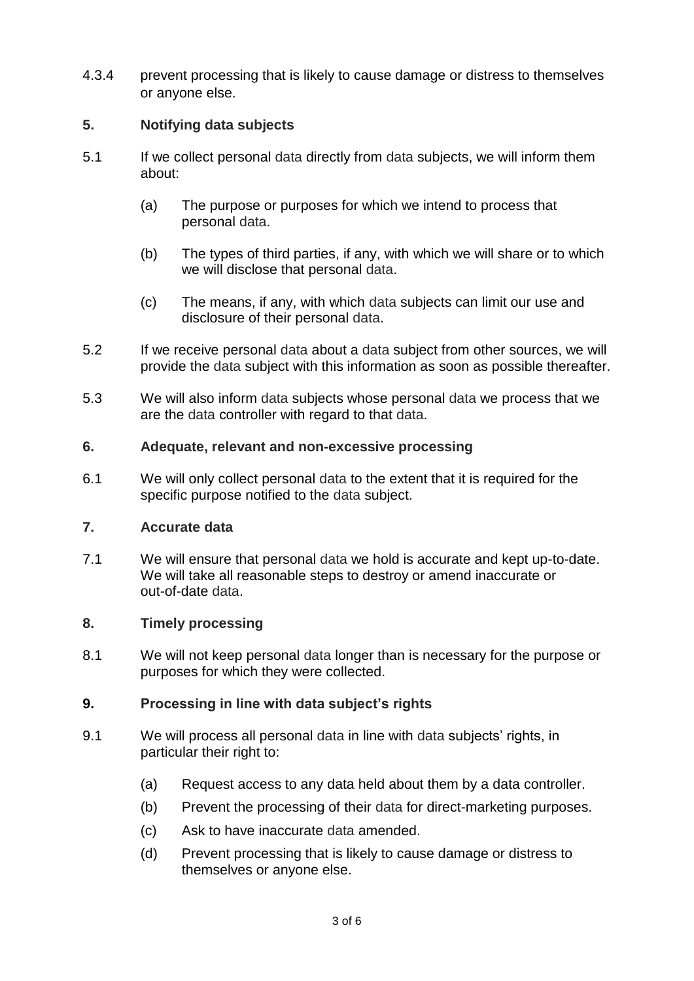4.3.4 prevent processing that is likely to cause damage or distress to themselves or anyone else.

# **5. Notifying data subjects**

- 5.1 If we collect personal data directly from data subjects, we will inform them about:
	- (a) The purpose or purposes for which we intend to process that personal data.
	- (b) The types of third parties, if any, with which we will share or to which we will disclose that personal data.
	- (c) The means, if any, with which data subjects can limit our use and disclosure of their personal data.
- 5.2 If we receive personal data about a data subject from other sources, we will provide the data subject with this information as soon as possible thereafter.
- 5.3 We will also inform data subjects whose personal data we process that we are the data controller with regard to that data.

# **6. Adequate, relevant and non-excessive processing**

6.1 We will only collect personal data to the extent that it is required for the specific purpose notified to the data subject.

# **7. Accurate data**

7.1 We will ensure that personal data we hold is accurate and kept up-to-date. We will take all reasonable steps to destroy or amend inaccurate or out-of-date data.

# **8. Timely processing**

8.1 We will not keep personal data longer than is necessary for the purpose or purposes for which they were collected.

# **9. Processing in line with data subject's rights**

- 9.1 We will process all personal data in line with data subjects' rights, in particular their right to:
	- (a) Request access to any data held about them by a data controller.
	- (b) Prevent the processing of their data for direct-marketing purposes.
	- (c) Ask to have inaccurate data amended.
	- (d) Prevent processing that is likely to cause damage or distress to themselves or anyone else.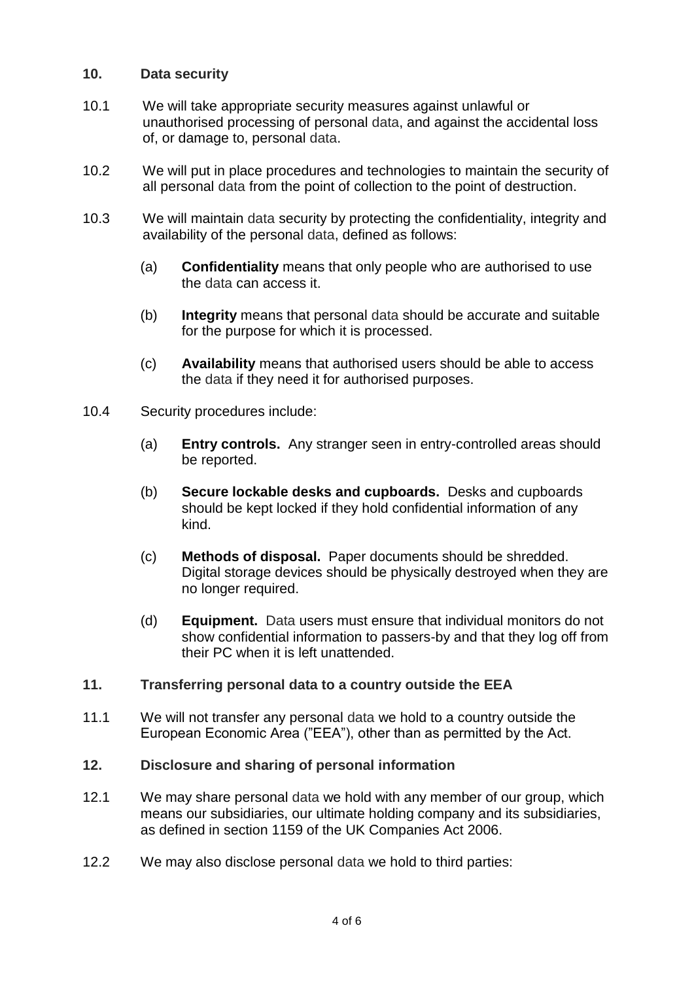## **10. Data security**

- 10.1 We will take appropriate security measures against unlawful or unauthorised processing of personal data, and against the accidental loss of, or damage to, personal data.
- 10.2 We will put in place procedures and technologies to maintain the security of all personal data from the point of collection to the point of destruction.
- 10.3 We will maintain data security by protecting the confidentiality, integrity and availability of the personal data, defined as follows:
	- (a) **Confidentiality** means that only people who are authorised to use the data can access it.
	- (b) **Integrity** means that personal data should be accurate and suitable for the purpose for which it is processed.
	- (c) **Availability** means that authorised users should be able to access the data if they need it for authorised purposes.
- 10.4 Security procedures include:
	- (a) **Entry controls.** Any stranger seen in entry-controlled areas should be reported.
	- (b) **Secure lockable desks and cupboards.** Desks and cupboards should be kept locked if they hold confidential information of any kind.
	- (c) **Methods of disposal.** Paper documents should be shredded. Digital storage devices should be physically destroyed when they are no longer required.
	- (d) **Equipment.** Data users must ensure that individual monitors do not show confidential information to passers-by and that they log off from their PC when it is left unattended.

#### **11. Transferring personal data to a country outside the EEA**

11.1 We will not transfer any personal data we hold to a country outside the European Economic Area ("EEA"), other than as permitted by the Act.

#### **12. Disclosure and sharing of personal information**

- 12.1 We may share personal data we hold with any member of our group, which means our subsidiaries, our ultimate holding company and its subsidiaries, as defined in section 1159 of the UK Companies Act 2006.
- 12.2 We may also disclose personal data we hold to third parties: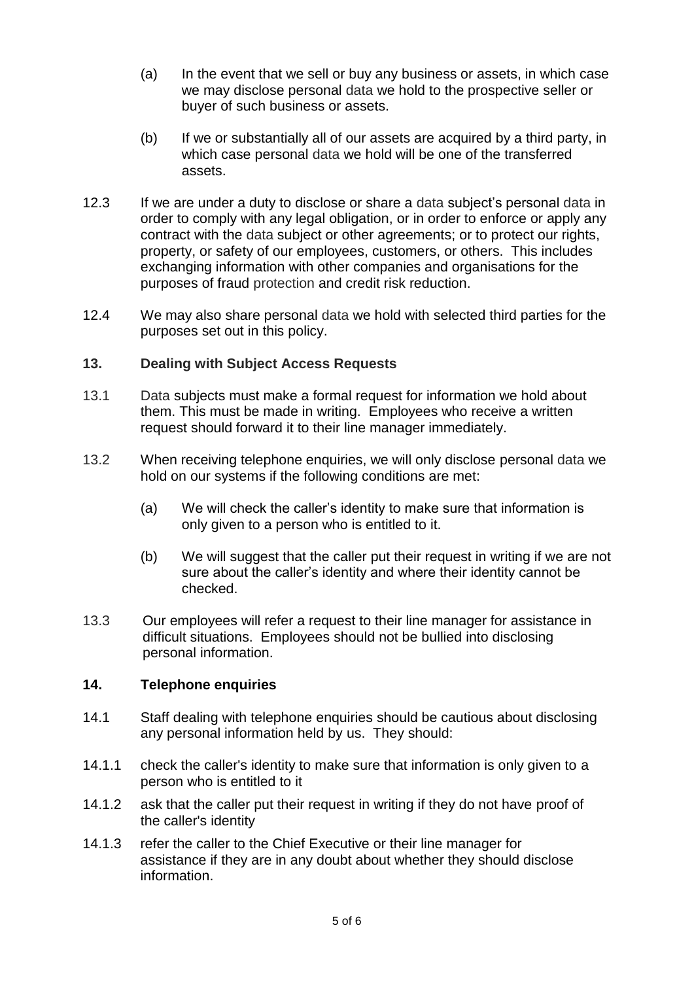- (a) In the event that we sell or buy any business or assets, in which case we may disclose personal data we hold to the prospective seller or buyer of such business or assets.
- (b) If we or substantially all of our assets are acquired by a third party, in which case personal data we hold will be one of the transferred assets.
- 12.3 If we are under a duty to disclose or share a data subject's personal data in order to comply with any legal obligation, or in order to enforce or apply any contract with the data subject or other agreements; or to protect our rights, property, or safety of our employees, customers, or others. This includes exchanging information with other companies and organisations for the purposes of fraud protection and credit risk reduction.
- 12.4 We may also share personal data we hold with selected third parties for the purposes set out in this policy.

## **13. Dealing with Subject Access Requests**

- 13.1 Data subjects must make a formal request for information we hold about them. This must be made in writing. Employees who receive a written request should forward it to their line manager immediately.
- 13.2 When receiving telephone enquiries, we will only disclose personal data we hold on our systems if the following conditions are met:
	- (a) We will check the caller's identity to make sure that information is only given to a person who is entitled to it.
	- (b) We will suggest that the caller put their request in writing if we are not sure about the caller's identity and where their identity cannot be checked.
- 13.3 Our employees will refer a request to their line manager for assistance in difficult situations. Employees should not be bullied into disclosing personal information.

### **14. Telephone enquiries**

- 14.1 Staff dealing with telephone enquiries should be cautious about disclosing any personal information held by us. They should:
- 14.1.1 check the caller's identity to make sure that information is only given to a person who is entitled to it
- 14.1.2 ask that the caller put their request in writing if they do not have proof of the caller's identity
- 14.1.3 refer the caller to the Chief Executive or their line manager for assistance if they are in any doubt about whether they should disclose information.